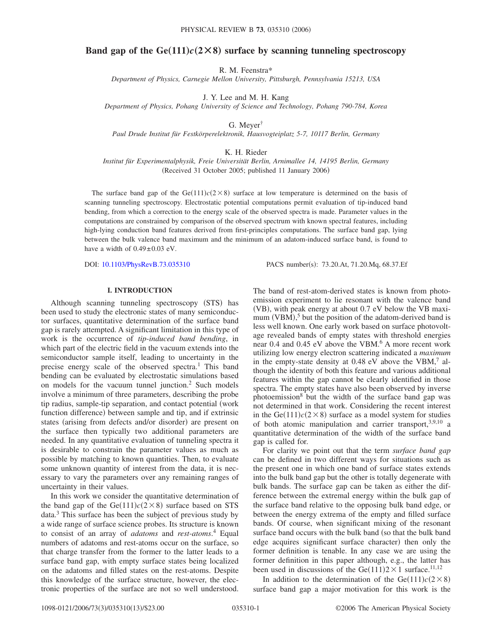# **Band gap of the Ge** $(111)c(2\times8)$  **surface by scanning tunneling spectroscopy**

R. M. Feenstra\*

*Department of Physics, Carnegie Mellon University, Pittsburgh, Pennsylvania 15213, USA*

J. Y. Lee and M. H. Kang

*Department of Physics, Pohang University of Science and Technology, Pohang 790-784, Korea*

G. Meyer†

*Paul Drude Institut für Festkörperelektronik, Hausvogteiplatz 5-7, 10117 Berlin, Germany*

K. H. Rieder

*Institut für Experimentalphysik, Freie Universität Berlin, Arnimallee 14, 14195 Berlin, Germany* (Received 31 October 2005; published 11 January 2006)

The surface band gap of the  $Ge(111)c(2\times8)$  surface at low temperature is determined on the basis of scanning tunneling spectroscopy. Electrostatic potential computations permit evaluation of tip-induced band bending, from which a correction to the energy scale of the observed spectra is made. Parameter values in the computations are constrained by comparison of the observed spectrum with known spectral features, including high-lying conduction band features derived from first-principles computations. The surface band gap, lying between the bulk valence band maximum and the minimum of an adatom-induced surface band, is found to have a width of  $0.49\pm0.03$  eV.

DOI: [10.1103/PhysRevB.73.035310](http://dx.doi.org/10.1103/PhysRevB.73.035310)

PACS number(s): 73.20.At, 71.20.Mq, 68.37.Ef

### **I. INTRODUCTION**

Although scanning tunneling spectroscopy (STS) has been used to study the electronic states of many semiconductor surfaces, quantitative determination of the surface band gap is rarely attempted. A significant limitation in this type of work is the occurrence of *tip-induced band bending*, in which part of the electric field in the vacuum extends into the semiconductor sample itself, leading to uncertainty in the precise energy scale of the observed spectra.<sup>1</sup> This band bending can be evaluated by electrostatic simulations based on models for the vacuum tunnel junction.2 Such models involve a minimum of three parameters, describing the probe tip radius, sample-tip separation, and contact potential (work function difference) between sample and tip, and if extrinsic states (arising from defects and/or disorder) are present on the surface then typically two additional parameters are needed. In any quantitative evaluation of tunneling spectra it is desirable to constrain the parameter values as much as possible by matching to known quantities. Then, to evaluate some unknown quantity of interest from the data, it is necessary to vary the parameters over any remaining ranges of uncertainty in their values.

In this work we consider the quantitative determination of the band gap of the  $Ge(111)c(2\times8)$  surface based on STS data.3 This surface has been the subject of previous study by a wide range of surface science probes. Its structure is known to consist of an array of *adatoms* and *rest-atoms*. <sup>4</sup> Equal numbers of adatoms and rest-atoms occur on the surface, so that charge transfer from the former to the latter leads to a surface band gap, with empty surface states being localized on the adatoms and filled states on the rest-atoms. Despite this knowledge of the surface structure, however, the electronic properties of the surface are not so well understood.

The band of rest-atom-derived states is known from photoemission experiment to lie resonant with the valence band (VB), with peak energy at about 0.7 eV below the VB maximum  $(VBM)$ <sup>5</sup>, but the position of the adatom-derived band is less well known. One early work based on surface photovoltage revealed bands of empty states with threshold energies near 0.4 and 0.45 eV above the VBM.<sup>6</sup> A more recent work utilizing low energy electron scattering indicated a *maximum* in the empty-state density at  $0.48$  eV above the VBM,<sup>7</sup> although the identity of both this feature and various additional features within the gap cannot be clearly identified in those spectra. The empty states have also been observed by inverse photoemission $8$  but the width of the surface band gap was not determined in that work. Considering the recent interest in the Ge(111) $c$ (2×8) surface as a model system for studies of both atomic manipulation and carrier transport,<sup>3,9,10</sup> a quantitative determination of the width of the surface band gap is called for.

For clarity we point out that the term *surface band gap* can be defined in two different ways for situations such as the present one in which one band of surface states extends into the bulk band gap but the other is totally degenerate with bulk bands. The surface gap can be taken as either the difference between the extremal energy within the bulk gap of the surface band relative to the opposing bulk band edge, or between the energy extrema of the empty and filled surface bands. Of course, when significant mixing of the resonant surface band occurs with the bulk band (so that the bulk band edge acquires significant surface character) then only the former definition is tenable. In any case we are using the former definition in this paper although, e.g., the latter has been used in discussions of the Ge $(111)2 \times 1$  surface.<sup>11,12</sup>

In addition to the determination of the Ge $(111)c(2\times8)$ surface band gap a major motivation for this work is the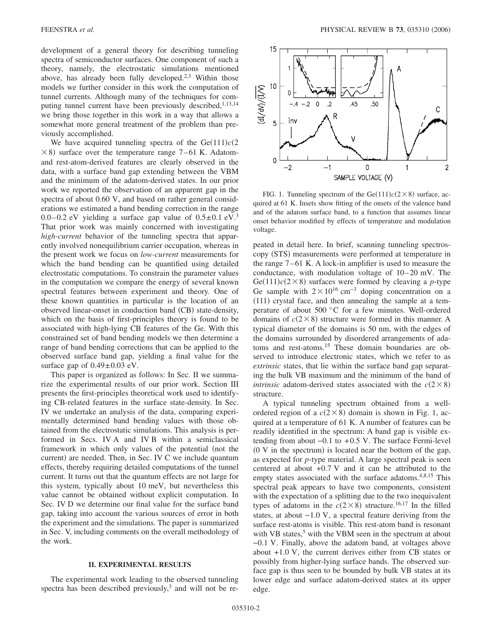development of a general theory for describing tunneling spectra of semiconductor surfaces. One component of such a theory, namely, the electrostatic simulations mentioned above, has already been fully developed.<sup>2,3</sup> Within those models we further consider in this work the computation of tunnel currents. Although many of the techniques for computing tunnel current have been previously described,<sup>1,13,14</sup> we bring those together in this work in a way that allows a somewhat more general treatment of the problem than previously accomplished.

We have acquired tunneling spectra of the  $Ge(111)c(2)$  $\times$  8) surface over the temperature range 7–61 K. Adatomand rest-atom-derived features are clearly observed in the data, with a surface band gap extending between the VBM and the minimum of the adatom-derived states. In our prior work we reported the observation of an apparent gap in the spectra of about 0.60 V, and based on rather general considerations we estimated a band bending correction in the range 0.0–0.2 eV yielding a surface gap value of  $0.5\pm0.1$  eV.<sup>3</sup> That prior work was mainly concerned with investigating *high-current* behavior of the tunneling spectra that apparently involved nonequilibrium carrier occupation, whereas in the present work we focus on *low-current* measurements for which the band bending can be quantified using detailed electrostatic computations. To constrain the parameter values in the computation we compare the energy of several known spectral features between experiment and theory. One of these known quantities in particular is the location of an observed linear-onset in conduction band (CB) state-density, which on the basis of first-principles theory is found to be associated with high-lying CB features of the Ge. With this constrained set of band bending models we then determine a range of band bending corrections that can be applied to the observed surface band gap, yielding a final value for the surface gap of  $0.49 \pm 0.03$  eV.

This paper is organized as follows: In Sec. II we summarize the experimental results of our prior work. Section III presents the first-principles theoretical work used to identifying CB-related features in the surface state-density. In Sec. IV we undertake an analysis of the data, comparing experimentally determined band bending values with those obtained from the electrostatic simulations. This analysis is performed in Secs. IV A and IV B within a semiclassical framework in which only values of the potential (not the current) are needed. Then, in Sec. IV C we include quantum effects, thereby requiring detailed computations of the tunnel current. It turns out that the quantum effects are not large for this system, typically about 10 meV, but nevertheless this value cannot be obtained without explicit computation. In Sec. IV D we determine our final value for the surface band gap, taking into account the various sources of error in both the experiment and the simulations. The paper is summarized in Sec. V, including comments on the overall methodology of the work.

#### **II. EXPERIMENTAL RESULTS**

The experimental work leading to the observed tunneling spectra has been described previously, $3$  and will not be re-



FIG. 1. Tunneling spectrum of the  $Ge(111)c(2\times8)$  surface, acquired at 61 K. Insets show fitting of the onsets of the valence band and of the adatom surface band, to a function that assumes linear onset behavior modified by effects of temperature and modulation voltage.

peated in detail here. In brief, scanning tunneling spectroscopy (STS) measurements were performed at temperature in the range 7–61 K. A lock-in amplifier is used to measure the conductance, with modulation voltage of 10–20 mV. The Ge(111) $c$ (2×8) surfaces were formed by cleaving a *p*-type Ge sample with  $2\times10^{16}$  cm<sup>-3</sup> doping concentration on a (111) crystal face, and then annealing the sample at a temperature of about 500 °C for a few minutes. Well-ordered domains of  $c(2 \times 8)$  structure were formed in this manner. A typical diameter of the domains is 50 nm, with the edges of the domains surrounded by disordered arrangements of adatoms and rest-atoms.15 These domain boundaries are observed to introduce electronic states, which we refer to as *extrinsic* states, that lie within the surface band gap separating the bulk VB maximum and the minimum of the band of *intrinsic* adatom-derived states associated with the  $c(2 \times 8)$ structure.

A typical tunneling spectrum obtained from a wellordered region of a  $c(2\times8)$  domain is shown in Fig. 1, acquired at a temperature of 61 K. A number of features can be readily identified in the spectrum: A band gap is visible extending from about −0.1 to +0.5 V. The surface Fermi-level  $(0 V$  in the spectrum) is located near the bottom of the gap, as expected for *p*-type material. A large spectral peak is seen centered at about +0.7 V and it can be attributed to the empty states associated with the surface adatoms.<sup>4,8,15</sup> This spectral peak appears to have two components, consistent with the expectation of a splitting due to the two inequivalent types of adatoms in the  $c(2\times8)$  structure.<sup>16,17</sup> In the filled states, at about −1.0 V, a spectral feature deriving from the surface rest-atoms is visible. This rest-atom band is resonant with VB states,<sup>5</sup> with the VBM seen in the spectrum at about −0.1 V. Finally, above the adatom band, at voltages above about +1.0 V, the current derives either from CB states or possibly from higher-lying surface bands. The observed surface gap is thus seen to be bounded by bulk VB states at its lower edge and surface adatom-derived states at its upper edge.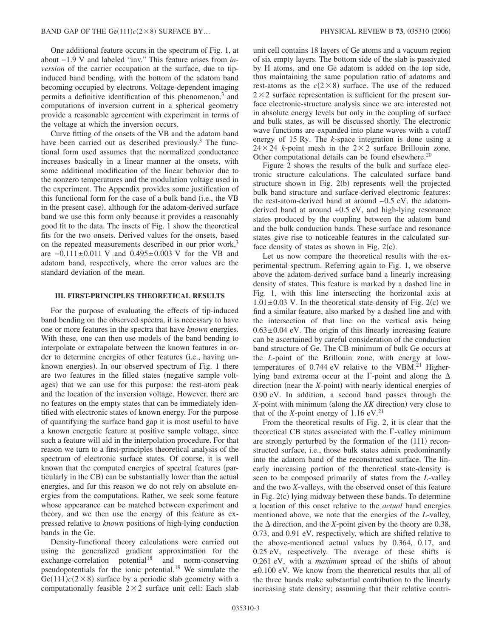One additional feature occurs in the spectrum of Fig. 1, at about −1.9 V and labeled "inv." This feature arises from *inversion* of the carrier occupation at the surface, due to tipinduced band bending, with the bottom of the adatom band becoming occupied by electrons. Voltage-dependent imaging permits a definitive identification of this phenomenon, $3$  and computations of inversion current in a spherical geometry provide a reasonable agreement with experiment in terms of the voltage at which the inversion occurs.

Curve fitting of the onsets of the VB and the adatom band have been carried out as described previously.<sup>3</sup> The functional form used assumes that the normalized conductance increases basically in a linear manner at the onsets, with some additional modification of the linear behavior due to the nonzero temperatures and the modulation voltage used in the experiment. The Appendix provides some justification of this functional form for the case of a bulk band (i.e., the VB in the present case), although for the adatom-derived surface band we use this form only because it provides a reasonably good fit to the data. The insets of Fig. 1 show the theoretical fits for the two onsets. Derived values for the onsets, based on the repeated measurements described in our prior work, $3$ are −0.111±0.011 V and 0.495±0.003 V for the VB and adatom band, respectively, where the error values are the standard deviation of the mean.

### **III. FIRST-PRINCIPLES THEORETICAL RESULTS**

For the purpose of evaluating the effects of tip-induced band bending on the observed spectra, it is necessary to have one or more features in the spectra that have *known* energies. With these, one can then use models of the band bending to interpolate or extrapolate between the known features in order to determine energies of other features (i.e., having unknown energies). In our observed spectrum of Fig. 1 there are two features in the filled states (negative sample voltages) that we can use for this purpose: the rest-atom peak and the location of the inversion voltage. However, there are no features on the empty states that can be immediately identified with electronic states of known energy. For the purpose of quantifying the surface band gap it is most useful to have a known energetic feature at positive sample voltage, since such a feature will aid in the interpolation procedure. For that reason we turn to a first-principles theoretical analysis of the spectrum of electronic surface states. Of course, it is well known that the computed energies of spectral features (particularly in the CB) can be substantially lower than the actual energies, and for this reason we do not rely on absolute energies from the computations. Rather, we seek some feature whose appearance can be matched between experiment and theory, and we then use the energy of this feature as expressed relative to *known* positions of high-lying conduction bands in the Ge.

Density-functional theory calculations were carried out using the generalized gradient approximation for the  $exchange-correlation$  potential<sup>18</sup> and norm-conserving pseudopotentials for the ionic potential.19 We simulate the  $Ge(111)c(2\times8)$  surface by a periodic slab geometry with a computationally feasible  $2 \times 2$  surface unit cell: Each slab unit cell contains 18 layers of Ge atoms and a vacuum region of six empty layers. The bottom side of the slab is passivated by H atoms, and one Ge adatom is added on the top side, thus maintaining the same population ratio of adatoms and rest-atoms as the  $c(2 \times 8)$  surface. The use of the reduced  $2 \times 2$  surface representation is sufficient for the present surface electronic-structure analysis since we are interested not in absolute energy levels but only in the coupling of surface and bulk states, as will be discussed shortly. The electronic wave functions are expanded into plane waves with a cutoff energy of 15 Ry. The *k*-space integration is done using a  $24 \times 24$  *k*-point mesh in the  $2 \times 2$  surface Brillouin zone. Other computational details can be found elsewhere.<sup>20</sup>

Figure 2 shows the results of the bulk and surface electronic structure calculations. The calculated surface band structure shown in Fig. 2(b) represents well the projected bulk band structure and surface-derived electronic features: the rest-atom-derived band at around −0.5 eV, the adatomderived band at around +0.5 eV, and high-lying resonance states produced by the coupling between the adatom band and the bulk conduction bands. These surface and resonance states give rise to noticeable features in the calculated surface density of states as shown in Fig.  $2(c)$ .

Let us now compare the theoretical results with the experimental spectrum. Referring again to Fig. 1, we observe above the adatom-derived surface band a linearly increasing density of states. This feature is marked by a dashed line in Fig. 1, with this line intersecting the horizontal axis at  $1.01 \pm 0.03$  V. In the theoretical state-density of Fig. 2(c) we find a similar feature, also marked by a dashed line and with the intersection of that line on the vertical axis being  $0.63\pm0.04$  eV. The origin of this linearly increasing feature can be ascertained by careful consideration of the conduction band structure of Ge. The CB minimum of bulk Ge occurs at the *L*-point of the Brillouin zone, with energy at lowtemperatures of  $0.744$  eV relative to the VBM.<sup>21</sup> Higherlying band extrema occur at the  $\Gamma$ -point and along the  $\Delta$ direction (near the *X*-point) with nearly identical energies of 0.90 eV. In addition, a second band passes through the X-point with minimum (along the *XK* direction) very close to that of the *X*-point energy of  $1.16$  eV.<sup>21</sup>

From the theoretical results of Fig. 2, it is clear that the theoretical CB states associated with the  $\Gamma$ -valley minimum are strongly perturbed by the formation of the (111) reconstructed surface, i.e., those bulk states admix predominantly into the adatom band of the reconstructed surface. The linearly increasing portion of the theoretical state-density is seen to be composed primarily of states from the *L*-valley and the two *X*-valleys, with the observed onset of this feature in Fig. 2(c) lying midway between these bands. To determine a location of this onset relative to the *actual* band energies mentioned above, we note that the energies of the *L*-valley, the  $\Delta$  direction, and the *X*-point given by the theory are 0.38, 0.73, and 0.91 eV, respectively, which are shifted relative to the above-mentioned actual values by 0.364, 0.17, and 0.25 eV, respectively. The average of these shifts is 0.261 eV, with a *maximum* spread of the shifts of about ±0.100 eV. We know from the theoretical results that all of the three bands make substantial contribution to the linearly increasing state density; assuming that their relative contri-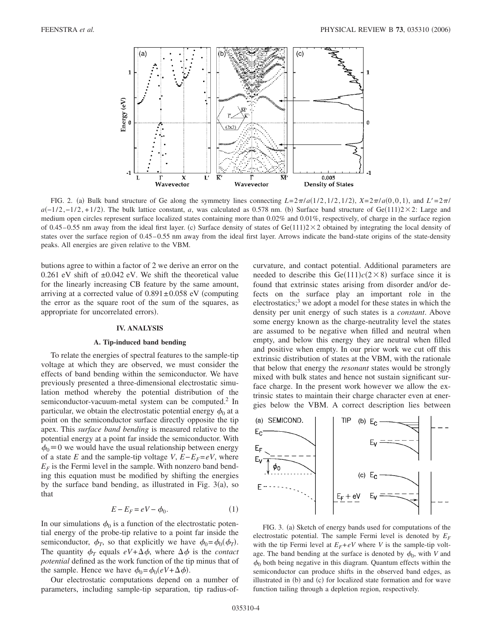

FIG. 2. (a) Bulk band structure of Ge along the symmetry lines connecting  $L=2\pi/a(1/2,1/2,1/2)$ ,  $X=2\pi/a(0,0,1)$ , and  $L'=2\pi/a(0,0,1)$  $a(-1/2, -1/2, +1/2)$ . The bulk lattice constant, *a*, was calculated as 0.578 nm. (b) Surface band structure of Ge(111)2 × 2: Large and medium open circles represent surface localized states containing more than 0.02% and 0.01%, respectively, of charge in the surface region of 0.45–0.55 nm away from the ideal first layer. (c) Surface density of states of Ge(111) $2 \times 2$  obtained by integrating the local density of states over the surface region of 0.45–0.55 nm away from the ideal first layer. Arrows indicate the band-state origins of the state-density peaks. All energies are given relative to the VBM.

butions agree to within a factor of 2 we derive an error on the 0.261 eV shift of  $\pm 0.042$  eV. We shift the theoretical value for the linearly increasing CB feature by the same amount, arriving at a corrected value of  $0.891 \pm 0.058$  eV (computing the error as the square root of the sum of the squares, as appropriate for uncorrelated errors).

#### **IV. ANALYSIS**

### **A. Tip-induced band bending**

To relate the energies of spectral features to the sample-tip voltage at which they are observed, we must consider the effects of band bending within the semiconductor. We have previously presented a three-dimensional electrostatic simulation method whereby the potential distribution of the semiconductor-vacuum-metal system can be computed.<sup>2</sup> In particular, we obtain the electrostatic potential energy  $\phi_0$  at a point on the semiconductor surface directly opposite the tip apex. This *surface band bending* is measured relative to the potential energy at a point far inside the semiconductor. With  $\phi_0 = 0$  we would have the usual relationship between energy of a state *E* and the sample-tip voltage *V*,  $E - E_F = eV$ , where  $E_F$  is the Fermi level in the sample. With nonzero band bending this equation must be modified by shifting the energies by the surface band bending, as illustrated in Fig.  $3(a)$ , so that

$$
E - E_F = eV - \phi_0. \tag{1}
$$

In our simulations  $\phi_0$  is a function of the electrostatic potential energy of the probe-tip relative to a point far inside the semiconductor,  $\phi_T$ , so that explicitly we have  $\phi_0 = \phi_0(\phi_T)$ . The quantity  $\phi_T$  equals  $eV + \Delta \phi$ , where  $\Delta \phi$  is the *contact potential* defined as the work function of the tip minus that of the sample. Hence we have  $\phi_0 = \phi_0(eV + \Delta \phi)$ .

Our electrostatic computations depend on a number of parameters, including sample-tip separation, tip radius-ofcurvature, and contact potential. Additional parameters are needed to describe this  $Ge(111)c(2\times8)$  surface since it is found that extrinsic states arising from disorder and/or defects on the surface play an important role in the  $electrostatics<sup>3</sup>$ , we adopt a model for these states in which the density per unit energy of such states is a *constant*. Above some energy known as the charge-neutrality level the states are assumed to be negative when filled and neutral when empty, and below this energy they are neutral when filled and positive when empty. In our prior work we cut off this extrinsic distribution of states at the VBM, with the rationale that below that energy the *resonant* states would be strongly mixed with bulk states and hence not sustain significant surface charge. In the present work however we allow the extrinsic states to maintain their charge character even at energies below the VBM. A correct description lies between



FIG. 3. (a) Sketch of energy bands used for computations of the electrostatic potential. The sample Fermi level is denoted by  $E_F$ with the tip Fermi level at  $E_F + eV$  where *V* is the sample-tip voltage. The band bending at the surface is denoted by  $\phi_0$ , with *V* and  $\phi_0$  both being negative in this diagram. Quantum effects within the semiconductor can produce shifts in the observed band edges, as illustrated in (b) and (c) for localized state formation and for wave function tailing through a depletion region, respectively.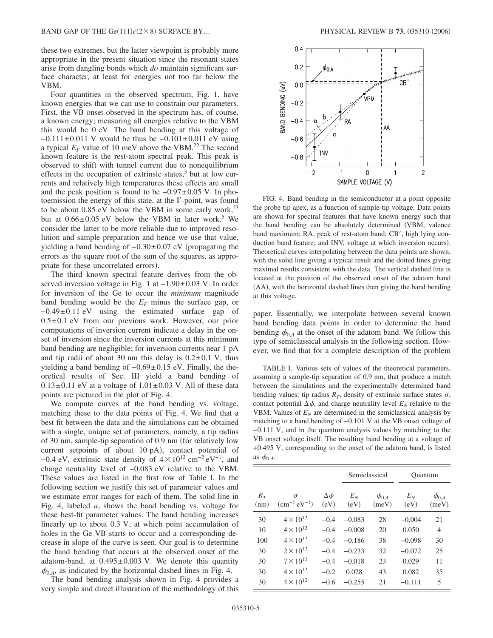these two extremes, but the latter viewpoint is probably more appropriate in the present situation since the resonant states arise from dangling bonds which *do* maintain significant surface character, at least for energies not too far below the VBM.

Four quantities in the observed spectrum, Fig. 1, have known energies that we can use to constrain our parameters. First, the VB onset observed in the spectrum has, of course, a known energy; measuring all energies relative to the VBM this would be 0 eV. The band bending at this voltage of  $-0.111 \pm 0.011$  V would be thus be  $-0.101 \pm 0.011$  eV using a typical  $E_F$  value of 10 meV above the VBM.<sup>22</sup> The second known feature is the rest-atom spectral peak. This peak is observed to shift with tunnel current due to nonequilibrium effects in the occupation of extrinsic states, $3$  but at low currents and relatively high temperatures these effects are small and the peak position is found to be −0.97±0.05 V. In photoemission the energy of this state, at the  $\Gamma$ -point, was found to be about 0.85 eV below the VBM in some early work,  $2^3$ but at  $0.66\pm0.05$  eV below the VBM in later work.<sup>5</sup> We consider the latter to be more reliable due to improved resolution and sample preparation and hence we use that value, yielding a band bending of  $-0.30±0.07$  eV (propagating the errors as the square root of the sum of the squares, as appropriate for these uncorrelated errors).

The third known spectral feature derives from the observed inversion voltage in Fig. 1 at −1.90±0.03 V. In order for inversion of the Ge to occur the *minimum* magnitude band bending would be the  $E_F$  minus the surface gap, or −0.49±0.11 eV using the estimated surface gap of  $0.5\pm0.1$  eV from our previous work. However, our prior computations of inversion current indicate a delay in the onset of inversion since the inversion currents at this minimum band bending are negligible; for inversion currents near 1 pA and tip radii of about 30 nm this delay is  $0.2 \pm 0.1$  V, thus yielding a band bending of −0.69±0.15 eV. Finally, the theoretical results of Sec. III yield a band bending of  $0.13\pm0.11$  eV at a voltage of  $1.01\pm0.03$  V. All of these data points are pictured in the plot of Fig. 4.

We compute curves of the band bending vs. voltage, matching these to the data points of Fig. 4. We find that a best fit between the data and the simulations can be obtained with a single, unique set of parameters, namely, a tip radius of 30 nm, sample-tip separation of 0.9 nm (for relatively low current setpoints of about 10 pA), contact potential of −0.4 eV, extrinsic state density of  $4 \times 10^{12}$  cm<sup>−2</sup> eV<sup>-1</sup>, and charge neutrality level of −0.083 eV relative to the VBM. These values are listed in the first row of Table I. In the following section we justify this set of parameter values and we estimate error ranges for each of them. The solid line in Fig. 4, labeled *a*, shows the band bending vs. voltage for these best-fit parameter values. The band bending increases linearly up to about 0.3 V, at which point accumulation of holes in the Ge VB starts to occur and a corresponding decrease in slope of the curve is seen. Our goal is to determine the band bending that occurs at the observed onset of the adatom-band, at  $0.495 \pm 0.003$  V. We denote this quantity  $\phi_{0,A}$ , as indicated by the horizontal dashed lines in Fig. 4.

The band bending analysis shown in Fig. 4 provides a very simple and direct illustration of the methodology of this



FIG. 4. Band bending in the semiconductor at a point opposite the probe tip apex, as a function of sample-tip voltage. Data points are shown for spectral features that have known energy such that the band bending can be absolutely determined VBM, valence band maximum; RA, peak of rest-atom band; CB', high lying conduction band feature; and INV, voltage at which inversion occurs). Theoretical curves interpolating between the data points are shown, with the solid line giving a typical result and the dotted lines giving maximal results consistent with the data. The vertical dashed line is located at the position of the observed onset of the adatom band (AA), with the horizontal dashed lines then giving the band bending at this voltage.

paper. Essentially, we interpolate between several known band bending data points in order to determine the band bending  $\phi_{0,A}$  at the onset of the adatom band. We follow this type of semiclassical analysis in the following section. However, we find that for a complete description of the problem

TABLE I. Various sets of values of the theoretical parameters, assuming a sample-tip separation of 0.9 nm, that produce a match between the simulations and the experimentally determined band bending values: tip radius  $R_T$ , density of extrinsic surface states  $\sigma$ , contact potential  $\Delta \phi$ , and charge neutrality level  $E_N$  relative to the VBM. Values of  $E_N$  are determined in the semiclassical analysis by matching to a band bending of −0.101 V at the VB onset voltage of −0.111 V, and in the quantum analysis values by matching to the VB onset voltage itself. The resulting band bending at a voltage of +0.495 V, corresponding to the onset of the adatom band, is listed as  $\phi_{0,A}$ .

|               |                                     |                       | Semiclassical |                       | Ouantum       |                       |
|---------------|-------------------------------------|-----------------------|---------------|-----------------------|---------------|-----------------------|
| $R_T$<br>(nm) | $\sigma$<br>$\rm (cm^{-2} eV^{-1})$ | $\Delta \phi$<br>(eV) | $E_N$<br>(eV) | $\phi_{0,A}$<br>(meV) | $E_N$<br>(eV) | $\phi_{0,A}$<br>(meV) |
| 30            | $4 \times 10^{12}$                  | $-0.4$                | $-0.083$      | 28                    | $-0.004$      | 21                    |
| 10            | $4 \times 10^{12}$                  | $-0.4$                | $-0.008$      | 20                    | 0.050         | $\overline{4}$        |
| 100           | $4 \times 10^{12}$                  | $-0.4$                | $-0.186$      | 38                    | $-0.098$      | 30                    |
| 30            | $2 \times 10^{12}$                  | $-0.4$                | $-0.233$      | 32                    | $-0.072$      | 25                    |
| 30            | $7 \times 10^{12}$                  | $-0.4$                | $-0.018$      | 23                    | 0.029         | 11                    |
| 30            | $4 \times 10^{12}$                  | $-0.2$                | 0.028         | 43                    | 0.082         | 35                    |
| 30            | $4 \times 10^{12}$                  | $-0.6$                | $-0.255$      | 21                    | $-0.111$      | 5                     |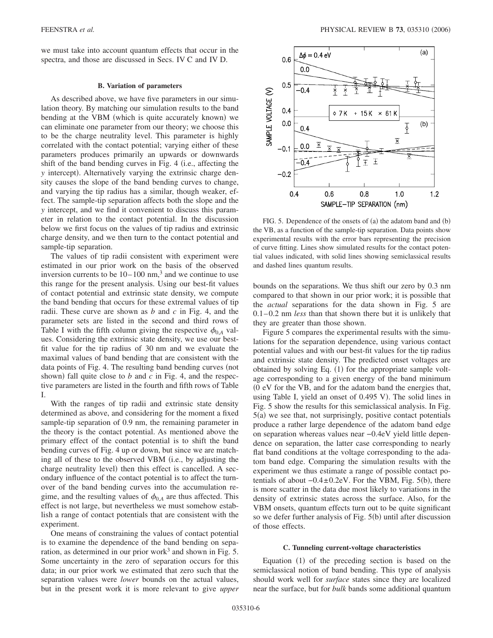we must take into account quantum effects that occur in the spectra, and those are discussed in Secs. IV C and IV D.

#### **B. Variation of parameters**

As described above, we have five parameters in our simulation theory. By matching our simulation results to the band bending at the VBM (which is quite accurately known) we can eliminate one parameter from our theory; we choose this to be the charge neutrality level. This parameter is highly correlated with the contact potential; varying either of these parameters produces primarily an upwards or downwards shift of the band bending curves in Fig. 4 (i.e., affecting the *y* intercept). Alternatively varying the extrinsic charge density causes the slope of the band bending curves to change, and varying the tip radius has a similar, though weaker, effect. The sample-tip separation affects both the slope and the *y* intercept, and we find it convenient to discuss this parameter in relation to the contact potential. In the discussion below we first focus on the values of tip radius and extrinsic charge density, and we then turn to the contact potential and sample-tip separation.

The values of tip radii consistent with experiment were estimated in our prior work on the basis of the observed inversion currents to be  $10-100$  nm,<sup>3</sup> and we continue to use this range for the present analysis. Using our best-fit values of contact potential and extrinsic state density, we compute the band bending that occurs for these extremal values of tip radii. These curve are shown as *b* and *c* in Fig. 4, and the parameter sets are listed in the second and third rows of Table I with the fifth column giving the respective  $\phi_{0,A}$  values. Considering the extrinsic state density, we use our bestfit value for the tip radius of 30 nm and we evaluate the maximal values of band bending that are consistent with the data points of Fig. 4. The resulting band bending curves (not shown) fall quite close to  $b$  and  $c$  in Fig. 4, and the respective parameters are listed in the fourth and fifth rows of Table I.

With the ranges of tip radii and extrinsic state density determined as above, and considering for the moment a fixed sample-tip separation of 0.9 nm, the remaining parameter in the theory is the contact potential. As mentioned above the primary effect of the contact potential is to shift the band bending curves of Fig. 4 up or down, but since we are matching all of these to the observed VBM (i.e., by adjusting the charge neutrality level) then this effect is cancelled. A secondary influence of the contact potential is to affect the turnover of the band bending curves into the accumulation regime, and the resulting values of  $\phi_{0,A}$  are thus affected. This effect is not large, but nevertheless we must somehow establish a range of contact potentials that are consistent with the experiment.

One means of constraining the values of contact potential is to examine the dependence of the band bending on separation, as determined in our prior work<sup>3</sup> and shown in Fig. 5. Some uncertainty in the zero of separation occurs for this data; in our prior work we estimated that zero such that the separation values were *lower* bounds on the actual values, but in the present work it is more relevant to give *upper*



FIG. 5. Dependence of the onsets of (a) the adatom band and (b) the VB, as a function of the sample-tip separation. Data points show experimental results with the error bars representing the precision of curve fitting. Lines show simulated results for the contact potential values indicated, with solid lines showing semiclassical results and dashed lines quantum results.

bounds on the separations. We thus shift our zero by 0.3 nm compared to that shown in our prior work; it is possible that the *actual* separations for the data shown in Fig. 5 are 0.1–0.2 nm *less* than that shown there but it is unlikely that they are greater than those shown.

Figure 5 compares the experimental results with the simulations for the separation dependence, using various contact potential values and with our best-fit values for the tip radius and extrinsic state density. The predicted onset voltages are obtained by solving Eq. (1) for the appropriate sample voltage corresponding to a given energy of the band minimum 0 eV for the VB, and for the adatom band the energies that, using Table I, yield an onset of 0.495 V). The solid lines in Fig. 5 show the results for this semiclassical analysis. In Fig. 5(a) we see that, not surprisingly, positive contact potentials produce a rather large dependence of the adatom band edge on separation whereas values near −0.4eV yield little dependence on separation, the latter case corresponding to nearly flat band conditions at the voltage corresponding to the adatom band edge. Comparing the simulation results with the experiment we thus estimate a range of possible contact potentials of about  $-0.4 \pm 0.2$ eV. For the VBM, Fig. 5(b), there is more scatter in the data due most likely to variations in the density of extrinsic states across the surface. Also, for the VBM onsets, quantum effects turn out to be quite significant so we defer further analysis of Fig. 5(b) until after discussion of those effects.

#### **C. Tunneling current-voltage characteristics**

Equation (1) of the preceding section is based on the semiclassical notion of band bending. This type of analysis should work well for *surface* states since they are localized near the surface, but for *bulk* bands some additional quantum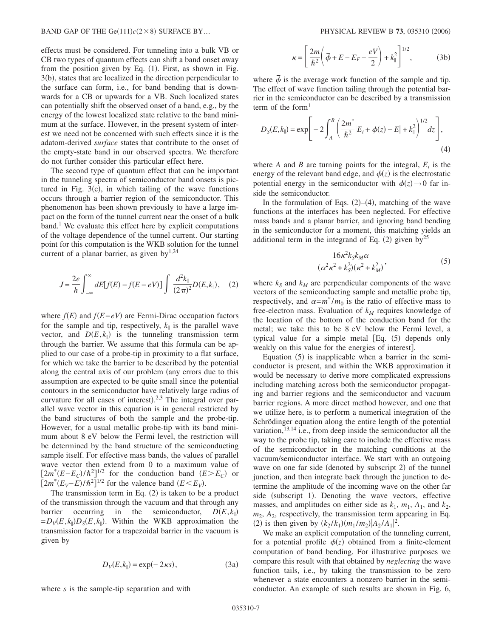effects must be considered. For tunneling into a bulk VB or CB two types of quantum effects can shift a band onset away from the position given by Eq. (1). First, as shown in Fig. 3(b), states that are localized in the direction perpendicular to the surface can form, i.e., for band bending that is downwards for a CB or upwards for a VB. Such localized states can potentially shift the observed onset of a band, e.g., by the energy of the lowest localized state relative to the band minimum at the surface. However, in the present system of interest we need not be concerned with such effects since it is the adatom-derived *surface* states that contribute to the onset of the empty-state band in our observed spectra. We therefore do not further consider this particular effect here.

The second type of quantum effect that can be important in the tunneling spectra of semiconductor band onsets is pictured in Fig.  $3(c)$ , in which tailing of the wave functions occurs through a barrier region of the semiconductor. This phenomenon has been shown previously to have a large impact on the form of the tunnel current near the onset of a bulk  $band<sup>1</sup>$  We evaluate this effect here by explicit computations of the voltage dependence of the tunnel current. Our starting point for this computation is the WKB solution for the tunnel current of a planar barrier, as given by $1,24$ 

$$
J = \frac{2e}{h} \int_{-\infty}^{\infty} dE[f(E) - f(E - eV)] \int \frac{d^2k_{\parallel}}{(2\pi)^2} D(E, k_{\parallel}), \quad (2)
$$

where  $f(E)$  and  $f(E-eV)$  are Fermi-Dirac occupation factors for the sample and tip, respectively,  $k_{\parallel}$  is the parallel wave vector, and  $D(E, k_{\parallel})$  is the tunneling transmission term through the barrier. We assume that this formula can be applied to our case of a probe-tip in proximity to a flat surface, for which we take the barrier to be described by the potential along the central axis of our problem (any errors due to this assumption are expected to be quite small since the potential contours in the semiconductor have relatively large radius of curvature for all cases of interest). $2.3$  The integral over parallel wave vector in this equation is in general restricted by the band structures of both the sample and the probe-tip. However, for a usual metallic probe-tip with its band minimum about 8 eV below the Fermi level, the restriction will be determined by the band structure of the semiconducting sample itself. For effective mass bands, the values of parallel wave vector then extend from 0 to a maximum value of  $[2m^*(E-E_C)/\hbar^2]^{1/2}$  for the conduction band  $(E>E_C)$  or  $\left[2m^*(E_V - E)/\hbar^2\right]^{1/2}$  for the valence band  $(E \le E_V)$ .

The transmission term in Eq.  $(2)$  is taken to be a product of the transmission through the vacuum and that through any barrier occurring in the semiconductor,  $D(E, k_{\parallel})$  $= D_V(E, k_{\parallel}) D_S(E, k_{\parallel})$ . Within the WKB approximation the transmission factor for a trapezoidal barrier in the vacuum is given by

$$
D_V(E, k_{\parallel}) = \exp(-2\kappa s), \tag{3a}
$$

where *s* is the sample-tip separation and with

$$
\kappa = \left[\frac{2m}{\hbar^2} \left(\overline{\phi} + E - E_F - \frac{eV}{2}\right) + k_{\parallel}^2\right]^{1/2},\tag{3b}
$$

where  $\bar{\phi}$  is the average work function of the sample and tip. The effect of wave function tailing through the potential barrier in the semiconductor can be described by a transmission term of the form $1$ 

$$
D_{S}(E, k_{\parallel}) = \exp\left[-2\int_{A}^{B} \left(\frac{2m^{*}}{\hbar^{2}}|E_{i} + \phi(z) - E| + k_{\parallel}^{2}\right)^{1/2} dz\right],
$$
\n(4)

where  $A$  and  $B$  are turning points for the integral,  $E_i$  is the energy of the relevant band edge, and  $\phi(z)$  is the electrostatic potential energy in the semiconductor with  $\phi(z) \rightarrow 0$  far inside the semiconductor.

In the formulation of Eqs.  $(2)$ – $(4)$ , matching of the wave functions at the interfaces has been neglected. For effective mass bands and a planar barrier, and ignoring band bending in the semiconductor for a moment, this matching yields an additional term in the integrand of Eq.  $(2)$  given by<sup>25</sup>

$$
\frac{16\kappa^2 k_S k_M \alpha}{(\alpha^2 \kappa^2 + k_S^2)(\kappa^2 + k_M^2)},\tag{5}
$$

where  $k_S$  and  $k_M$  are perpendicular components of the wave vectors of the semiconducting sample and metallic probe tip, respectively, and  $\alpha = m^* / m_0$  is the ratio of effective mass to free-electron mass. Evaluation of  $k_M$  requires knowledge of the location of the bottom of the conduction band for the metal; we take this to be 8 eV below the Fermi level, a typical value for a simple metal  $[Eq. (5)$  depends only weakly on this value for the energies of interest.

Equation (5) is inapplicable when a barrier in the semiconductor is present, and within the WKB approximation it would be necessary to derive more complicated expressions including matching across both the semiconductor propagating and barrier regions and the semiconductor and vacuum barrier regions. A more direct method however, and one that we utilize here, is to perform a numerical integration of the Schrödinger equation along the entire length of the potential variation,  $13,14$  i.e., from deep inside the semiconductor all the way to the probe tip, taking care to include the effective mass of the semiconductor in the matching conditions at the vacuum/semiconductor interface. We start with an outgoing wave on one far side (denoted by subscript 2) of the tunnel junction, and then integrate back through the junction to determine the amplitude of the incoming wave on the other far side (subscript 1). Denoting the wave vectors, effective masses, and amplitudes on either side as  $k_1$ ,  $m_1$ ,  $A_1$ , and  $k_2$ ,  $m_2$ ,  $A_2$ , respectively, the transmission term appearing in Eq. (2) is then given by  $(k_2 / k_1) (m_1 / m_2) |A_2 / A_1|^2$ .

We make an explicit computation of the tunneling current, for a potential profile  $\phi(z)$  obtained from a finite-element computation of band bending. For illustrative purposes we compare this result with that obtained by *neglecting* the wave function tails, i.e., by taking the transmission to be zero whenever a state encounters a nonzero barrier in the semiconductor. An example of such results are shown in Fig. 6,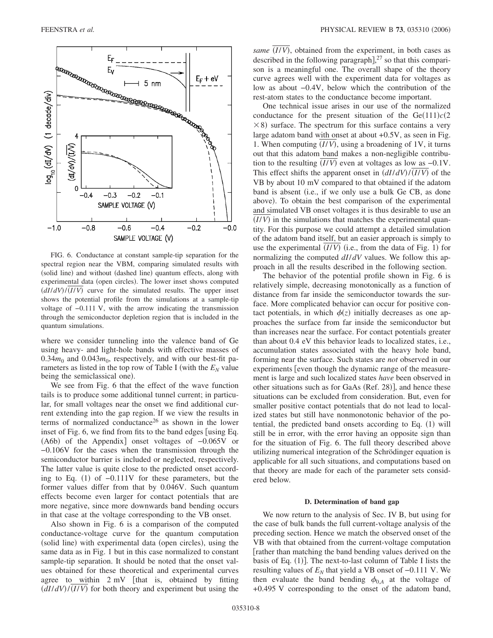

FIG. 6. Conductance at constant sample-tip separation for the spectral region near the VBM, comparing simulated results with (solid line) and without (dashed line) quantum effects, along with experimental data (open circles). The lower inset shows computed  $\frac{dI}{dV}$ / $\frac{I}{V}$  curve for the simulated results. The upper inset shows the potential profile from the simulations at a sample-tip voltage of −0.111 V, with the arrow indicating the transmission through the semiconductor depletion region that is included in the quantum simulations.

where we consider tunneling into the valence band of Ge using heavy- and light-hole bands with effective masses of  $0.34m_0$  and  $0.043m_0$ , respectively, and with our best-fit parameters as listed in the top row of Table I (with the  $E<sub>N</sub>$  value being the semiclassical one).

We see from Fig. 6 that the effect of the wave function tails is to produce some additional tunnel current; in particular, for small voltages near the onset we find additional current extending into the gap region. If we view the results in terms of normalized conductance<sup>26</sup> as shown in the lower inset of Fig. 6, we find from fits to the band edges  $\lceil \text{using Eq.} \rceil$ (A6b) of the Appendix] onset voltages of -0.065V or −0.106V for the cases when the transmission through the semiconductor barrier is included or neglected, respectively. The latter value is quite close to the predicted onset according to Eq.  $(1)$  of  $-0.111V$  for these parameters, but the former values differ from that by 0.046V. Such quantum effects become even larger for contact potentials that are more negative, since more downwards band bending occurs in that case at the voltage corresponding to the VB onset.

Also shown in Fig. 6 is a comparison of the computed conductance-voltage curve for the quantum computation (solid line) with experimental data (open circles), using the same data as in Fig. 1 but in this case normalized to constant sample-tip separation. It should be noted that the onset values obtained for these theoretical and experimental curves agree to within  $2 \text{ mV}$  [that is, obtained by fitting  $\frac{dI}{dV}$ / $\frac{I}{V}$  for both theory and experiment but using the

same (I/V), obtained from the experiment, in both cases as described in the following paragraph], $27$  so that this comparison is a meaningful one. The overall shape of the theory curve agrees well with the experiment data for voltages as low as about −0.4V, below which the contribution of the rest-atom states to the conductance become important.

One technical issue arises in our use of the normalized conductance for the present situation of the  $Ge(111)c(2)$  $\times$  8) surface. The spectrum for this surface contains a very large adatom band with onset at about +0.5V, as seen in Fig. 1. When computing  $(I/V)$ , using a broadening of 1V, it turns out that this adatom band makes a non-negligible contribution to the resulting  $(I/V)$  even at voltages as low as  $-0.1V$ . This effect shifts the apparent onset in  $\left(\frac{dI}{dV}\right) / \left(\frac{I}{V}\right)$  of the VB by about 10 mV compared to that obtained if the adatom band is absent (i.e., if we only use a bulk Ge CB, as done above). To obtain the best comparison of the experimental and simulated VB onset voltages it is thus desirable to use an  $(I/V)$  in the simulations that matches the experimental quantity. For this purpose we could attempt a detailed simulation of the adatom band itself, but an easier approach is simply to use the experimental  $(I/V)$  (i.e., from the data of Fig. 1) for normalizing the computed *dI*/*dV* values. We follow this approach in all the results described in the following section.

The behavior of the potential profile shown in Fig. 6 is relatively simple, decreasing monotonically as a function of distance from far inside the semiconductor towards the surface. More complicated behavior can occur for positive contact potentials, in which  $\phi(z)$  initially decreases as one approaches the surface from far inside the semiconductor but than increases near the surface. For contact potentials greater than about 0.4 eV this behavior leads to localized states, i.e., accumulation states associated with the heavy hole band, forming near the surface. Such states are *not* observed in our experiments [even though the dynamic range of the measurement is large and such localized states *have* been observed in other situations such as for GaAs (Ref. 28)], and hence these situations can be excluded from consideration. But, even for smaller positive contact potentials that do not lead to localized states but still have nonmonotonic behavior of the potential, the predicted band onsets according to Eq. (1) will still be in error, with the error having an opposite sign than for the situation of Fig. 6. The full theory described above utilizing numerical integration of the Schrödinger equation is applicable for all such situations, and computations based on that theory are made for each of the parameter sets considered below.

#### **D. Determination of band gap**

We now return to the analysis of Sec. IV B, but using for the case of bulk bands the full current-voltage analysis of the preceding section. Hence we match the observed onset of the VB with that obtained from the current-voltage computation rather than matching the band bending values derived on the basis of Eq. (1)]. The next-to-last column of Table I lists the resulting values of  $E_N$  that yield a VB onset of  $-0.111$  V. We then evaluate the band bending  $\phi_{0,A}$  at the voltage of +0.495 V corresponding to the onset of the adatom band,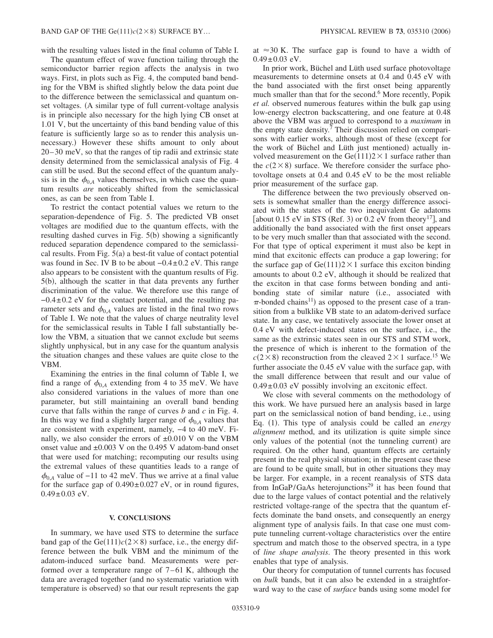with the resulting values listed in the final column of Table I.

The quantum effect of wave function tailing through the semiconductor barrier region affects the analysis in two ways. First, in plots such as Fig. 4, the computed band bending for the VBM is shifted slightly below the data point due to the difference between the semiclassical and quantum onset voltages. (A similar type of full current-voltage analysis is in principle also necessary for the high lying CB onset at 1.01 V, but the uncertainty of this band bending value of this feature is sufficiently large so as to render this analysis unnecessary.) However these shifts amount to only about 20–30 meV, so that the ranges of tip radii and extrinsic state density determined from the semiclassical analysis of Fig. 4 can still be used. But the second effect of the quantum analysis is in the  $\phi_{0,A}$  values themselves, in which case the quantum results *are* noticeably shifted from the semiclassical ones, as can be seen from Table I.

To restrict the contact potential values we return to the separation-dependence of Fig. 5. The predicted VB onset voltages are modified due to the quantum effects, with the resulting dashed curves in Fig. 5(b) showing a significantly reduced separation dependence compared to the semiclassical results. From Fig. 5(a) a best-fit value of contact potential was found in Sec. IV B to be about  $-0.4\pm0.2$  eV. This range also appears to be consistent with the quantum results of Fig. 5(b), although the scatter in that data prevents any further discrimination of the value. We therefore use this range of −0.4±0.2 eV for the contact potential, and the resulting parameter sets and  $\phi_{0,A}$  values are listed in the final two rows of Table I. We note that the values of charge neutrality level for the semiclassical results in Table I fall substantially below the VBM, a situation that we cannot exclude but seems slightly unphysical, but in any case for the quantum analysis the situation changes and these values are quite close to the VBM.

Examining the entries in the final column of Table I, we find a range of  $\phi_{0,A}$  extending from 4 to 35 meV. We have also considered variations in the values of more than one parameter, but still maintaining an overall band bending curve that falls within the range of curves *b* and *c* in Fig. 4. In this way we find a slightly larger range of  $\phi_{0,A}$  values that are consistent with experiment, namely, −4 to 40 meV. Finally, we also consider the errors of  $\pm 0.010$  V on the VBM onset value and  $\pm 0.003$  V on the 0.495 V adatom-band onset that were used for matching; recomputing our results using the extremal values of these quantities leads to a range of  $\phi_{0A}$  value of −11 to 42 meV. Thus we arrive at a final value for the surface gap of  $0.490 \pm 0.027$  eV, or in round figures,  $0.49 \pm 0.03$  eV.

### **V. CONCLUSIONS**

In summary, we have used STS to determine the surface band gap of the  $Ge(111)c(2\times8)$  surface, i.e., the energy difference between the bulk VBM and the minimum of the adatom-induced surface band. Measurements were performed over a temperature range of 7–61 K, although the data are averaged together (and no systematic variation with temperature is observed) so that our result represents the gap

at  $\approx$ 30 K. The surface gap is found to have a width of  $0.49 \pm 0.03$  eV.

In prior work, Büchel and Lüth used surface photovoltage measurements to determine onsets at 0.4 and 0.45 eV with the band associated with the first onset being apparently much smaller than that for the second.<sup>6</sup> More recently, Popik *et al.* observed numerous features within the bulk gap using low-energy electron backscattering, and one feature at 0.48 above the VBM was argued to correspond to a *maximum* in the empty state density.<sup>7</sup> Their discussion relied on comparisons with earlier works, although most of these (except for the work of Büchel and Lüth just mentioned) actually involved measurement on the Ge $(111)2 \times 1$  surface rather than the  $c(2 \times 8)$  surface. We therefore consider the surface photovoltage onsets at 0.4 and 0.45 eV to be the most reliable prior measurement of the surface gap.

The difference between the two previously observed onsets is somewhat smaller than the energy difference associated with the states of the two inequivalent Ge adatoms [about 0.15 eV in STS (Ref. 3) or 0.2 eV from theory<sup>17</sup>], and additionally the band associated with the first onset appears to be very much smaller than that associated with the second. For that type of optical experiment it must also be kept in mind that excitonic effects can produce a gap lowering; for the surface gap of  $Ge(111)2 \times 1$  surface this exciton binding amounts to about 0.2 eV, although it should be realized that the exciton in that case forms between bonding and antibonding state of similar nature (i.e., associated with  $\pi$ -bonded chains<sup>11</sup>) as opposed to the present case of a transition from a bulklike VB state to an adatom-derived surface state. In any case, we tentatively associate the lower onset at 0.4 eV with defect-induced states on the surface, i.e., the same as the extrinsic states seen in our STS and STM work, the presence of which is inherent to the formation of the  $c(2\times8)$  reconstruction from the cleaved  $2\times1$  surface.<sup>15</sup> We further associate the 0.45 eV value with the surface gap, with the small difference between that result and our value of  $0.49\pm0.03$  eV possibly involving an excitonic effect.

We close with several comments on the methodology of this work. We have pursued here an analysis based in large part on the semiclassical notion of band bending, i.e., using Eq. (1). This type of analysis could be called an *energy alignment* method, and its utilization is quite simple since only values of the potential (not the tunneling current) are required. On the other hand, quantum effects are certainly present in the real physical situation; in the present case these are found to be quite small, but in other situations they may be larger. For example, in a recent reanalysis of STS data from InGaP/GaAs heterojunctions<sup>29</sup> it has been found that due to the large values of contact potential and the relatively restricted voltage-range of the spectra that the quantum effects dominate the band onsets, and consequently an energy alignment type of analysis fails. In that case one must compute tunneling current-voltage characteristics over the entire spectrum and match those to the observed spectra, in a type of *line shape analysis*. The theory presented in this work enables that type of analysis.

Our theory for computation of tunnel currents has focused on *bulk* bands, but it can also be extended in a straightforward way to the case of *surface* bands using some model for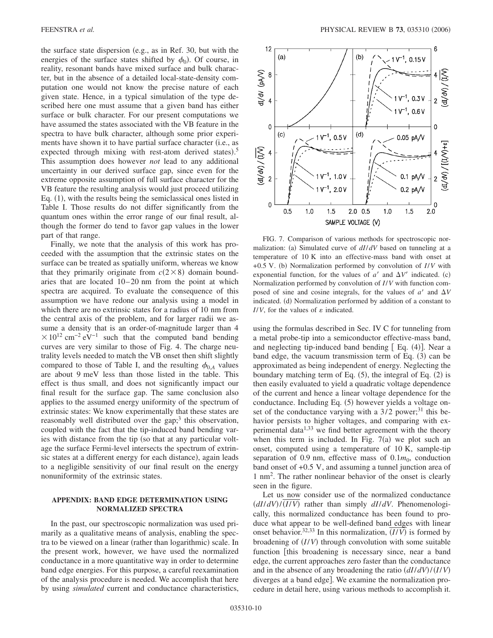the surface state dispersion (e.g., as in Ref. 30, but with the energies of the surface states shifted by  $\phi_0$ ). Of course, in reality, resonant bands have mixed surface and bulk character, but in the absence of a detailed local-state-density computation one would not know the precise nature of each given state. Hence, in a typical simulation of the type described here one must assume that a given band has either surface or bulk character. For our present computations we have assumed the states associated with the VB feature in the spectra to have bulk character, although some prior experiments have shown it to have partial surface character (i.e., as expected through mixing with rest-atom derived states).<sup>5</sup> This assumption does however *not* lead to any additional uncertainty in our derived surface gap, since even for the extreme opposite assumption of full surface character for the VB feature the resulting analysis would just proceed utilizing Eq. (1), with the results being the semiclassical ones listed in Table I. Those results do not differ significantly from the quantum ones within the error range of our final result, although the former do tend to favor gap values in the lower part of that range.

Finally, we note that the analysis of this work has proceeded with the assumption that the extrinsic states on the surface can be treated as spatially uniform, whereas we know that they primarily originate from  $c(2\times8)$  domain boundaries that are located 10–20 nm from the point at which spectra are acquired. To evaluate the consequence of this assumption we have redone our analysis using a model in which there are no extrinsic states for a radius of 10 nm from the central axis of the problem, and for larger radii we assume a density that is an order-of-magnitude larger than 4  $\times 10^{12}$  cm<sup>-2</sup> eV<sup>-1</sup> such that the computed band bending curves are very similar to those of Fig. 4. The charge neutrality levels needed to match the VB onset then shift slightly compared to those of Table I, and the resulting  $\phi_{0A}$  values are about 9 meV less than those listed in the table. This effect is thus small, and does not significantly impact our final result for the surface gap. The same conclusion also applies to the assumed energy uniformity of the spectrum of extrinsic states: We know experimentally that these states are reasonably well distributed over the gap;<sup>3</sup> this observation, coupled with the fact that the tip-induced band bending varies with distance from the tip (so that at any particular voltage the surface Fermi-level intersects the spectrum of extrinsic states at a different energy for each distance), again leads to a negligible sensitivity of our final result on the energy nonuniformity of the extrinsic states.

## **APPENDIX: BAND EDGE DETERMINATION USING NORMALIZED SPECTRA**

In the past, our spectroscopic normalization was used primarily as a qualitative means of analysis, enabling the spectra to be viewed on a linear (rather than logarithmic) scale. In the present work, however, we have used the normalized conductance in a more quantitative way in order to determine band edge energies. For this purpose, a careful reexamination of the analysis procedure is needed. We accomplish that here by using *simulated* current and conductance characteristics,



FIG. 7. Comparison of various methods for spectroscopic normalization: (a) Simulated curve of  $dI/dV$  based on tunneling at a temperature of 10 K into an effective-mass band with onset at +0.5 V. (b) Normalization performed by convolution of *I/V* with exponential function, for the values of  $a'$  and  $\Delta V'$  indicated. (c) Normalization performed by convolution of *I*/*V* with function composed of sine and cosine integrals, for the values of  $a'$  and  $\Delta V$ indicated. (d) Normalization performed by addition of a constant to  $I/V$ , for the values of  $\varepsilon$  indicated.

using the formulas described in Sec. IV C for tunneling from a metal probe-tip into a semiconductor effective-mass band, and neglecting tip-induced band bending  $[Eq. (4)]$ . Near a band edge, the vacuum transmission term of Eq. (3) can be approximated as being independent of energy. Neglecting the boundary matching term of Eq.  $(5)$ , the integral of Eq.  $(2)$  is then easily evaluated to yield a quadratic voltage dependence of the current and hence a linear voltage dependence for the conductance. Including Eq. (5) however yields a voltage onset of the conductance varying with a  $3/2$  power;<sup>31</sup> this behavior persists to higher voltages, and comparing with experimental data $1,33$  we find better agreement with the theory when this term is included. In Fig.  $7(a)$  we plot such an onset, computed using a temperature of 10 K, sample-tip separation of 0.9 nm, effective mass of  $0.1m_0$ , conduction band onset of +0.5 V, and assuming a tunnel junction area of 1 nm2 . The rather nonlinear behavior of the onset is clearly seen in the figure.

Let us now consider use of the normalized conductance *dI*/*dV*-/*I*/*V*- rather than simply *dI*/*dV*. Phenomenologically, this normalized conductance has been found to produce what appear to be well-defined band edges with linear onset behavior.<sup>32,33</sup> In this normalization,  $(I/V)$  is formed by broadening of  $(I/V)$  through convolution with some suitable function [this broadening is necessary since, near a band edge, the current approaches zero faster than the conductance and in the absence of any broadening the ratio  $\left(\frac{dI}{dV}\right) / \left(\frac{I}{V}\right)$ diverges at a band edge]. We examine the normalization procedure in detail here, using various methods to accomplish it.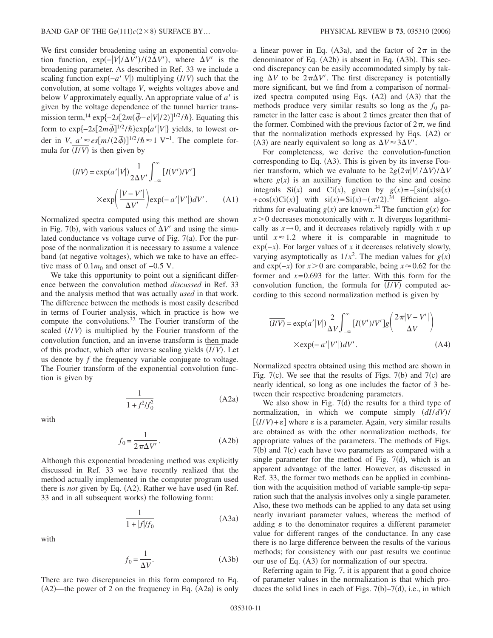We first consider broadening using an exponential convolution function,  $\exp(-|V|/\Delta V')/(2\Delta V')$ , where  $\Delta V'$  is the broadening parameter. As described in Ref. 33 we include a scaling function  $exp(-a'|V|)$  multiplying *(I/V)* such that the convolution, at some voltage *V*, weights voltages above and below *V* approximately equally. An appropriate value of *a* is given by the voltage dependence of the tunnel barrier transmission term,<sup>14</sup> exp{-2*s*[2*m*( $\bar{\phi}$ -*e*|*V*|/2)]<sup>1/2</sup>/*h*}. Equating this form to  $\exp\{-2s[2m\overline{\phi}]^{1/2}/\hbar\} \exp\{a'|V|\}$  yields, to lowest order in *V*,  $a' \approx e s [m/2\bar{\phi}]^{1/2}/\hbar \approx 1 \text{ V}^{-1}$ . The complete formula for  $(I/V)$  is then given by

$$
\overline{(IV)} = \exp(a'|V|) \frac{1}{2\Delta V'} \int_{-\infty}^{\infty} [I(V')/V']
$$

$$
\times \exp\left(\frac{|V - V'|}{\Delta V'}\right) \exp(-a'|V'|) dV'. \tag{A1}
$$

Normalized spectra computed using this method are shown in Fig. 7(b), with various values of  $\Delta V'$  and using the simulated conductance vs voltage curve of Fig.  $7(a)$ . For the purpose of the normalization it is necessary to assume a valence band (at negative voltages), which we take to have an effective mass of  $0.1m_0$  and onset of  $-0.5$  V.

We take this opportunity to point out a significant difference between the convolution method *discussed* in Ref. 33 and the analysis method that was actually *used* in that work. The difference between the methods is most easily described in terms of Fourier analysis, which in practice is how we compute the convolutions.32 The Fourier transform of the scaled (I/V) is multiplied by the Fourier transform of the convolution function, and an inverse transform is then made of this product, which after inverse scaling yields (I/V). Let us denote by *f* the frequency variable conjugate to voltage. The Fourier transform of the exponential convolution function is given by

$$
\frac{1}{1+f^2/f_0^2} \tag{A2a}
$$

with

$$
f_0 = \frac{1}{2\pi\Delta V'}.\tag{A2b}
$$

Although this exponential broadening method was explicitly discussed in Ref. 33 we have recently realized that the method actually implemented in the computer program used there is *not* given by Eq. (A2). Rather we have used (in Ref. 33 and in all subsequent works) the following form:

$$
\frac{1}{1+|f|/f_0} \tag{A3a}
$$

with

$$
f_0 = \frac{1}{\Delta V}.\tag{A3b}
$$

There are two discrepancies in this form compared to Eq.  $(A2)$ —the power of 2 on the frequency in Eq.  $(A2a)$  is only

a linear power in Eq. (A3a), and the factor of  $2\pi$  in the denominator of Eq. (A2b) is absent in Eq. (A3b). This second discrepancy can be easily accommodated simply by taking  $\Delta V$  to be  $2\pi\Delta V'$ . The first discrepancy is potentially more significant, but we find from a comparison of normalized spectra computed using Eqs.  $(A2)$  and  $(A3)$  that the methods produce very similar results so long as the  $f_0$  parameter in the latter case is about 2 times greater then that of the former. Combined with the previous factor of  $2\pi$ , we find that the normalization methods expressed by Eqs. (A2) or (A3) are nearly equivalent so long as  $\Delta V \approx 3\Delta V'$ .

For completeness, we derive the convolution-function corresponding to Eq. (A3). This is given by its inverse Fourier transform, which we evaluate to be  $2g(2\pi|V|/\Delta V)/\Delta V$ where  $g(x)$  is an auxiliary function to the sine and cosine integrals Si(*x*) and Ci(*x*), given by  $g(x) = -\left[\sin(x)\sin(x)\right]$ <br>+cos(*x*)Ci(*x*)] with si(*x*)=Si(*x*)-( $\pi$ /2).<sup>34</sup> Efficient algorithms for evaluating  $g(x)$  are known.<sup>34</sup> The function  $g(x)$  for  $x > 0$  decreases monotonically with *x*. It diverges logarithmically as  $x \rightarrow 0$ , and it decreases relatively rapidly with x up until  $x \approx 1.2$  where it is comparable in magnitude to exp(-*x*). For larger values of *x* it decreases relatively slowly, varying asymptotically as  $1/x^2$ . The median values for  $g(x)$ and exp( $-x$ ) for *x* > 0 are comparable, being *x* ≈ 0.62 for the former and  $x=0.693$  for the latter. With this form for the convolution function, the formula for  $(I/V)$  computed according to this second normalization method is given by

$$
\overline{(IV)} = \exp(a'|V|) \frac{2}{\Delta V} \int_{-\infty}^{\infty} [I(V')/V']g\left(\frac{2\pi|V-V'|}{\Delta V}\right)
$$
  
× $\exp(-a'|V'|)dV'$ . (A4)

Normalized spectra obtained using this method are shown in Fig.  $7(c)$ . We see that the results of Figs.  $7(b)$  and  $7(c)$  are nearly identical, so long as one includes the factor of 3 between their respective broadening parameters.

We also show in Fig.  $7(d)$  the results for a third type of normalization, in which we compute simply *dI*/*dV*-/  $[(I/V)+\varepsilon]$  where  $\varepsilon$  is a parameter. Again, very similar results are obtained as with the other normalization methods, for appropriate values of the parameters. The methods of Figs. 7(b) and 7(c) each have two parameters as compared with a single parameter for the method of Fig.  $7(d)$ , which is an apparent advantage of the latter. However, as discussed in Ref. 33, the former two methods can be applied in combination with the acquisition method of variable sample-tip separation such that the analysis involves only a single parameter. Also, these two methods can be applied to any data set using nearly invariant parameter values, whereas the method of adding  $\varepsilon$  to the denominator requires a different parameter value for different ranges of the conductance. In any case there is no large difference between the results of the various methods; for consistency with our past results we continue our use of Eq. (A3) for normalization of our spectra.

Referring again to Fig. 7, it is apparent that a good choice of parameter values in the normalization is that which produces the solid lines in each of Figs.  $7(b) - 7(d)$ , i.e., in which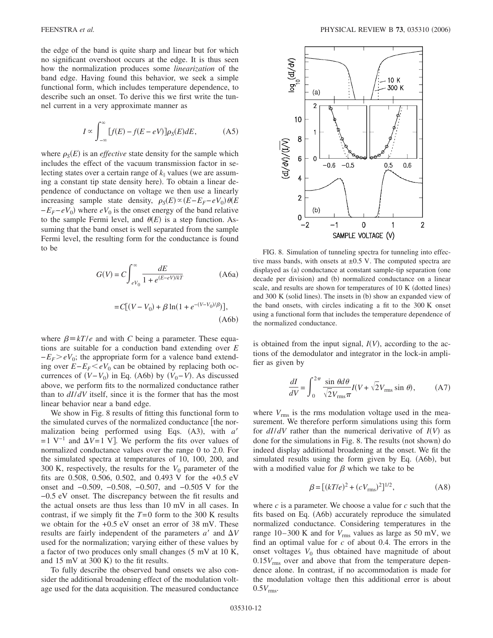the edge of the band is quite sharp and linear but for which no significant overshoot occurs at the edge. It is thus seen how the normalization produces some *linearization* of the band edge. Having found this behavior, we seek a simple functional form, which includes temperature dependence, to describe such an onset. To derive this we first write the tunnel current in a very approximate manner as

$$
I \propto \int_{-\infty}^{\infty} [f(E) - f(E - eV)] \rho_S(E) dE,
$$
 (A5)

where  $\rho_S(E)$  is an *effective* state density for the sample which includes the effect of the vacuum transmission factor in selecting states over a certain range of  $k_{\parallel}$  values (we are assuming a constant tip state density here). To obtain a linear dependence of conductance on voltage we then use a linearly increasing sample state density,  $\rho_S(E) \propto (E - E_F - eV_0) \theta(E)$  $-E_F$ − $eV_0$ ) where  $eV_0$  is the onset energy of the band relative to the sample Fermi level, and  $\theta(E)$  is a step function. Assuming that the band onset is well separated from the sample Fermi level, the resulting form for the conductance is found to be

$$
G(V) = C \int_{eV_0}^{\infty} \frac{dE}{1 + e^{(E - eV)/kT}}
$$
 (A6a)

$$
= C[(V - V_0) + \beta \ln(1 + e^{-(V - V_0)/\beta})],
$$
\n(A6b)

where  $\beta = kT/e$  and with *C* being a parameter. These equations are suitable for a conduction band extending over *E*  $-E_F$  $\geq eV_0$ ; the appropriate form for a valence band extending over  $E - E_F < eV_0$  can be obtained by replacing both occurrences of  $(V - V_0)$  in Eq. (A6b) by  $(V_0 - V)$ . As discussed above, we perform fits to the normalized conductance rather than to *dI*/*dV* itself, since it is the former that has the most linear behavior near a band edge.

We show in Fig. 8 results of fitting this functional form to the simulated curves of the normalized conductance the normalization being performed using Eqs. (A3), with *a'*  $=1$  V<sup>-1</sup> and  $\Delta V=1$  V. We perform the fits over values of normalized conductance values over the range 0 to 2.0. For the simulated spectra at temperatures of 10, 100, 200, and 300 K, respectively, the results for the  $V_0$  parameter of the fits are 0.508, 0.506, 0.502, and 0.493 V for the +0.5 eV onset and −0.509, −0.508, −0.507, and −0.505 V for the −0.5 eV onset. The discrepancy between the fit results and the actual onsets are thus less than 10 mV in all cases. In contrast, if we simply fit the *T*=0 form to the 300 K results we obtain for the +0.5 eV onset an error of 38 mV. These results are fairly independent of the parameters  $a'$  and  $\Delta V$ used for the normalization; varying either of these values by a factor of two produces only small changes  $(5 \text{ mV at } 10 \text{ K})$ , and  $15 \text{ mV}$  at  $300 \text{ K}$ ) to the fit results.

To fully describe the observed band onsets we also consider the additional broadening effect of the modulation voltage used for the data acquisition. The measured conductance



FIG. 8. Simulation of tunneling spectra for tunneling into effective mass bands, with onsets at  $\pm 0.5$  V. The computed spectra are displayed as (a) conductance at constant sample-tip separation (one decade per division) and (b) normalized conductance on a linear scale, and results are shown for temperatures of 10 K (dotted lines) and 300 K (solid lines). The insets in (b) show an expanded view of the band onsets, with circles indicating a fit to the 300 K onset using a functional form that includes the temperature dependence of the normalized conductance.

is obtained from the input signal,  $I(V)$ , according to the actions of the demodulator and integrator in the lock-in amplifier as given by

$$
\frac{dI}{dV} = \int_0^{2\pi} \frac{\sin \theta d\theta}{\sqrt{2}V_{\text{rms}}\pi} I(V + \sqrt{2}V_{\text{rms}}\sin \theta), \quad (A7)
$$

where  $V_{\text{rms}}$  is the rms modulation voltage used in the measurement. We therefore perform simulations using this form for  $dI/dV$  rather than the numerical derivative of  $I(V)$  as done for the simulations in Fig. 8. The results (not shown) do indeed display additional broadening at the onset. We fit the simulated results using the form given by Eq. (A6b), but with a modified value for  $\beta$  which we take to be

$$
\beta = [(kT/e)^{2} + (cV_{\rm rms})^{2}]^{1/2},
$$
 (A8)

where *c* is a parameter. We choose a value for *c* such that the fits based on Eq. (A6b) accurately reproduce the simulated normalized conductance. Considering temperatures in the range  $10-300$  K and for  $V_{\text{rms}}$  values as large as 50 mV, we find an optimal value for *c* of about 0.4. The errors in the onset voltages  $V_0$  thus obtained have magnitude of about  $0.15V<sub>rms</sub>$  over and above that from the temperature dependence alone. In contrast, if no accommodation is made for the modulation voltage then this additional error is about  $0.5V$ <sub>rms</sub>.